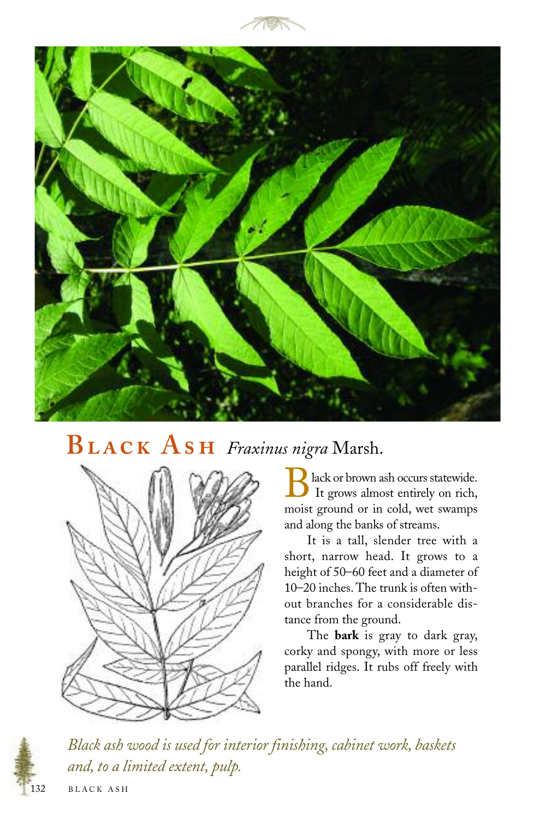



## **B A** *Fraxinus nigra* Marsh.



lack or brown ash occurs statewide. It grows almost entirely on rich, moist ground or in cold, wet swamps and along the banks of streams.

It is a tall, slender tree with a short, narrow head. It grows to a height of 50–60 feet and a diameter of 10–20 inches. The trunk is often without branches for a considerable distance from the ground.

The **bark** is gray to dark gray, corky and spongy, with more or less parallel ridges. It rubs off freely with the hand.



*Black ash wood is used for interior finishing, cabinet work, baskets and, to a limited extent, pulp.*